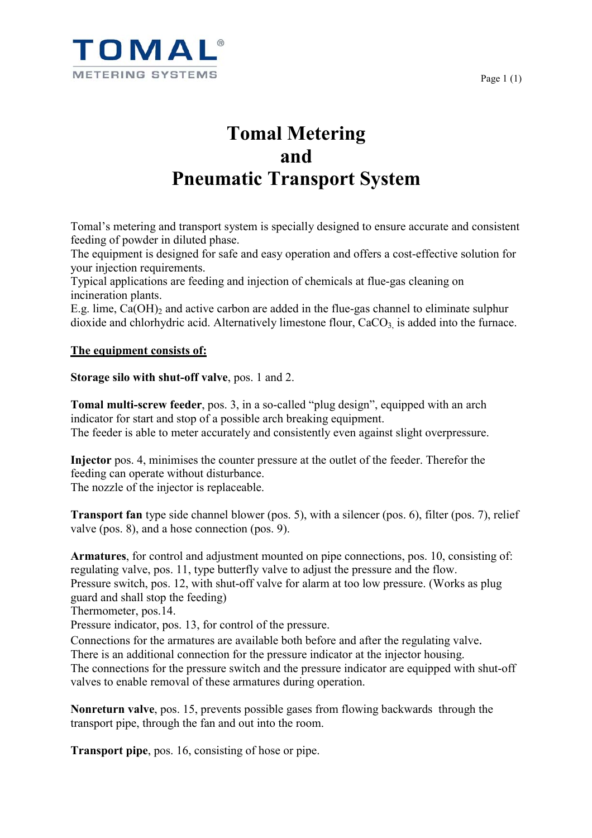

## **Tomal Metering and Pneumatic Transport System**

Tomal's metering and transport system is specially designed to ensure accurate and consistent feeding of powder in diluted phase.

The equipment is designed for safe and easy operation and offers a cost-effective solution for your injection requirements.

Typical applications are feeding and injection of chemicals at flue-gas cleaning on incineration plants.

E.g. lime,  $Ca(OH)_2$  and active carbon are added in the flue-gas channel to eliminate sulphur dioxide and chlorhydric acid. Alternatively limestone flour,  $CaCO<sub>3</sub>$  is added into the furnace.

## **The equipment consists of:**

**Storage silo with shut-off valve**, pos. 1 and 2.

**Tomal multi-screw feeder**, pos. 3, in a so-called "plug design", equipped with an arch indicator for start and stop of a possible arch breaking equipment. The feeder is able to meter accurately and consistently even against slight overpressure.

**Injector** pos. 4, minimises the counter pressure at the outlet of the feeder. Therefor the feeding can operate without disturbance. The nozzle of the injector is replaceable.

**Transport fan** type side channel blower (pos. 5), with a silencer (pos. 6), filter (pos. 7), relief valve (pos. 8), and a hose connection (pos. 9).

**Armatures**, for control and adjustment mounted on pipe connections, pos. 10, consisting of: regulating valve, pos. 11, type butterfly valve to adjust the pressure and the flow. Pressure switch, pos. 12, with shut-off valve for alarm at too low pressure. (Works as plug

guard and shall stop the feeding)

Thermometer, pos.14.

Pressure indicator, pos. 13, for control of the pressure.

Connections for the armatures are available both before and after the regulating valve.

There is an additional connection for the pressure indicator at the injector housing.

The connections for the pressure switch and the pressure indicator are equipped with shut-off valves to enable removal of these armatures during operation.

**Nonreturn valve**, pos. 15, prevents possible gases from flowing backwards through the transport pipe, through the fan and out into the room.

**Transport pipe**, pos. 16, consisting of hose or pipe.